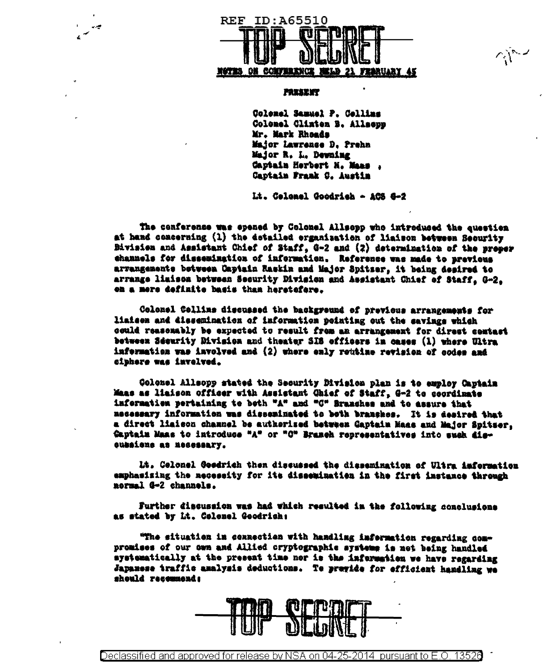

 $\sim$   $\sim$   $\sim$ 

## **PAXSENT**

Colonel Samuel P. Cellins Colomel Clinten B. Allsopp Mr. Mark Rhonds Major Lawrence D. Prehn Major R. L. Dewning Captain Herbert N. Maas Captain Frank C. Austin

Lt. Celemel Goodrich - ACS 8-2

The cenferense was epened by Colonel Allsepp who introduced the question at hand concerning (1) the detailed erganisation of liaison between Security Division and Assistant Chief of Staff, G-2 and (2) determination of the proper channels for dissemination of information. Reference was made to previous arvangements between Captain Raskin and Major Spitser, it being desired to arrange limison between Security Division and Assistant Chief of Staff, G-2, on a mere definite basis than heretefere.

Colonel Collins discussed the background of previous arrangements for liaisen and dissemination of information pointing out the savings which ceuld reasemably be expected to result from an arrangement for direct contact between Sdeurity Bivision and theater SIS officers in cases (1) where Ultra information was involved and (2) where enly routine revision of codes and ciphore was invelved.

Colonel Allsopp stated the Security Division plan is to employ Captain Maas as liaison officer with Assistant Qhief of Staff, G-2 to coordinate information pertaining to both "A" and "G" Branches and to assure that necessary information was disseminated to both branches. It is desired that a direct liaison channel be authorized between Gaptain Maas and Major Spitzer. Captain Maas to introduce "A" or "C" Branch representatives into such diseussiene as nesessary.

Lt. Celonel Gesdrich then discussed the dissemination of Ultra information emphasizing the necessity for its dissemination in the first instance through normal G-2 channels.

Further discussion was had which resulted in the following conclusions as stated by Lt. Colonel Goodrich:

"The situation in connection with handling information regarding compromises of our own and Allied cryptographic systems is not being handled systematically at the present time nor is the information we have regarding Japanese traffic amalysis deductions. Te previde for efficient handling we should recommend: